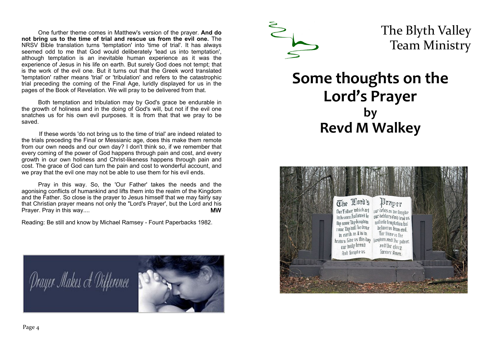One further theme comes in Matthew's version of the prayer. **And do not bring us to the time of trial and rescue us from the evil one.** The NRSV Bible translation turns 'temptation' into 'time of trial'. It has always seemed odd to me that God would deliberately 'lead us into temptation', although temptation is an inevitable human experience as it was the experience of Jesus in his life on earth. But surely God does not tempt; that is the work of the evil one. But it turns out that the Greek word translated 'temptation' rather means 'trial' or 'tribulation' and refers to the catastrophic trial preceding the coming of the Final Age, luridly displayed for us in the pages of the Book of Revelation. We will pray to be delivered from that.

Both temptation and tribulation may by God's grace be endurable in the growth of holiness and in the doing of God's will, but not if the evil one snatches us for his own evil purposes. It is from that that we pray to be saved.

 If these words 'do not bring us to the time of trial' are indeed related to the trials preceding the Final or Messianic age, does this make them remote from our own needs and our own day? I don't think so, if we remember that every coming of the power of God happens through pain and cost, and every growth in our own holiness and Christ-likeness happens through pain and cost. The grace of God can turn the pain and cost to wonderful account, and we pray that the evil one may not be able to use them for his evil ends.

Pray in this way. So, the 'Our Father' takes the needs and the agonising conflicts of humankind and lifts them into the realm of the Kingdom and the Father. So close is the prayer to Jesus himself that we may fairly say that Christian prayer means not only the "Lord's Prayer', but the Lord and his Prayer. Pray in this way....

Reading: Be still and know by Michael Ramsey - Fount Paperbacks 1982.





The Blyth Valley Team Ministry

## **Some thoughts on the Lord's Prayer by Revd M Walkey**